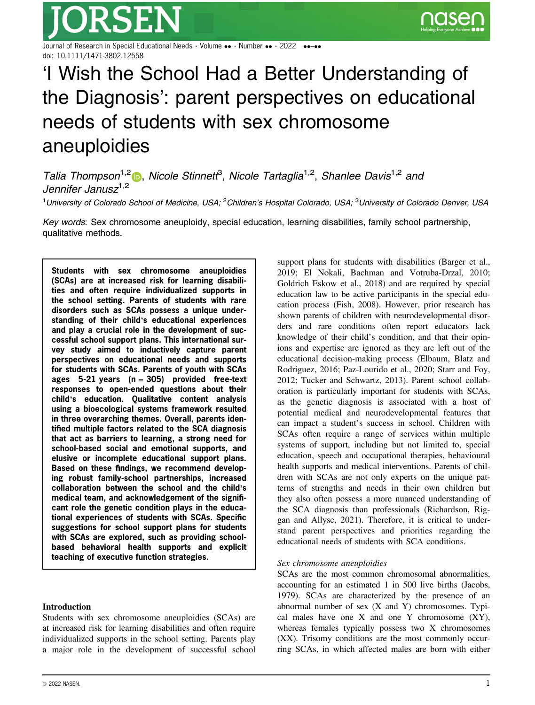

Journal of Research in Special Educational Needs · Volume ... Number ... 2022 ... doi: 10.1111/1471-3802.12558

# 'I Wish the School Had a Better Understanding of the Diagnosis': parent perspectives on educational needs of students with sex chromosome aneuploidies

Talia Thompson<sup>1,[2](https://orcid.org/0000-0001-6512-9743)</sup> , Nicole Stinnett<sup>3</sup>, Nicole Tartaglia<sup>1,2</sup>, Shanlee Davis<sup>1,2</sup> and Jennifer Janusz<sup>1,2</sup>

<sup>1</sup>University of Colorado School of Medicine, USA; <sup>2</sup>Children's Hospital Colorado, USA; <sup>3</sup>University of Colorado Denver, USA

Key words: Sex chromosome aneuploidy, special education, learning disabilities, family school partnership, qualitative methods.

Students with sex chromosome aneuploidies (SCAs) are at increased risk for learning disabilities and often require individualized supports in the school setting. Parents of students with rare disorders such as SCAs possess a unique understanding of their child's educational experiences and play a crucial role in the development of successful school support plans. This international survey study aimed to inductively capture parent perspectives on educational needs and supports for students with SCAs. Parents of youth with SCAs ages  $5-21$  years (n = 305) provided free-text responses to open-ended questions about their child's education. Qualitative content analysis using a bioecological systems framework resulted in three overarching themes. Overall, parents identified multiple factors related to the SCA diagnosis that act as barriers to learning, a strong need for school-based social and emotional supports, and elusive or incomplete educational support plans. Based on these findings, we recommend developing robust family-school partnerships, increased collaboration between the school and the child's medical team, and acknowledgement of the significant role the genetic condition plays in the educational experiences of students with SCAs. Specific suggestions for school support plans for students with SCAs are explored, such as providing schoolbased behavioral health supports and explicit teaching of executive function strategies.

## Introduction

Students with sex chromosome aneuploidies (SCAs) are at increased risk for learning disabilities and often require individualized supports in the school setting. Parents play a major role in the development of successful school

support plans for students with disabilities (Barger et al., 2019; El Nokali, Bachman and Votruba-Drzal, 2010; Goldrich Eskow et al., 2018) and are required by special education law to be active participants in the special education process (Fish, 2008). However, prior research has shown parents of children with neurodevelopmental disorders and rare conditions often report educators lack knowledge of their child's condition, and that their opinions and expertise are ignored as they are left out of the educational decision-making process (Elbaum, Blatz and Rodriguez, 2016; Paz-Lourido et al., 2020; Starr and Foy, 2012; Tucker and Schwartz, 2013). Parent–school collaboration is particularly important for students with SCAs, as the genetic diagnosis is associated with a host of potential medical and neurodevelopmental features that can impact a student's success in school. Children with SCAs often require a range of services within multiple systems of support, including but not limited to, special education, speech and occupational therapies, behavioural health supports and medical interventions. Parents of children with SCAs are not only experts on the unique patterns of strengths and needs in their own children but they also often possess a more nuanced understanding of the SCA diagnosis than professionals (Richardson, Riggan and Allyse, 2021). Therefore, it is critical to understand parent perspectives and priorities regarding the educational needs of students with SCA conditions.

#### Sex chromosome aneuploidies

SCAs are the most common chromosomal abnormalities, accounting for an estimated 1 in 500 live births (Jacobs, 1979). SCAs are characterized by the presence of an abnormal number of sex (X and Y) chromosomes. Typical males have one  $X$  and one  $Y$  chromosome  $(XY)$ , whereas females typically possess two X chromosomes (XX). Trisomy conditions are the most commonly occurring SCAs, in which affected males are born with either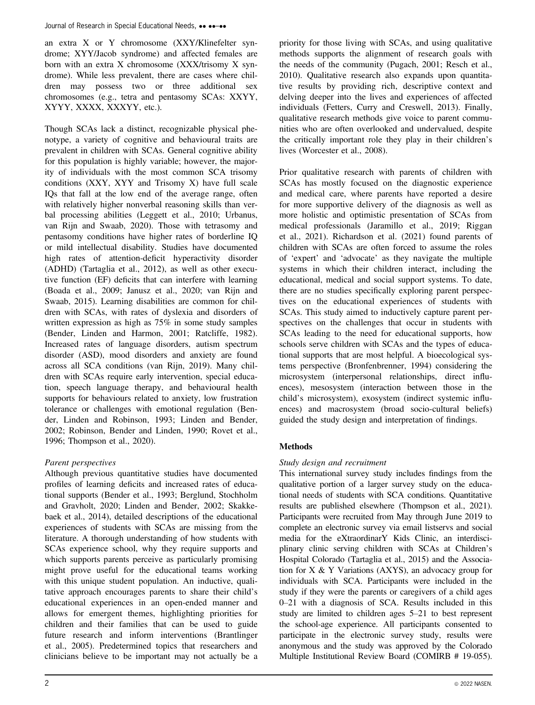an extra X or Y chromosome (XXY/Klinefelter syndrome; XYY/Jacob syndrome) and affected females are born with an extra X chromosome (XXX/trisomy X syndrome). While less prevalent, there are cases where children may possess two or three additional sex chromosomes (e.g., tetra and pentasomy SCAs: XXYY, XYYY, XXXX, XXXYY, etc.).

Though SCAs lack a distinct, recognizable physical phenotype, a variety of cognitive and behavioural traits are prevalent in children with SCAs. General cognitive ability for this population is highly variable; however, the majority of individuals with the most common SCA trisomy conditions (XXY, XYY and Trisomy X) have full scale IQs that fall at the low end of the average range, often with relatively higher nonverbal reasoning skills than verbal processing abilities (Leggett et al., 2010; Urbanus, van Rijn and Swaab, 2020). Those with tetrasomy and pentasomy conditions have higher rates of borderline IQ or mild intellectual disability. Studies have documented high rates of attention-deficit hyperactivity disorder (ADHD) (Tartaglia et al., 2012), as well as other executive function (EF) deficits that can interfere with learning (Boada et al., 2009; Janusz et al., 2020; van Rijn and Swaab, 2015). Learning disabilities are common for children with SCAs, with rates of dyslexia and disorders of written expression as high as 75% in some study samples (Bender, Linden and Harmon, 2001; Ratcliffe, 1982). Increased rates of language disorders, autism spectrum disorder (ASD), mood disorders and anxiety are found across all SCA conditions (van Rijn, 2019). Many children with SCAs require early intervention, special education, speech language therapy, and behavioural health supports for behaviours related to anxiety, low frustration tolerance or challenges with emotional regulation (Bender, Linden and Robinson, 1993; Linden and Bender, 2002; Robinson, Bender and Linden, 1990; Rovet et al., 1996; Thompson et al., 2020).

# Parent perspectives

Although previous quantitative studies have documented profiles of learning deficits and increased rates of educational supports (Bender et al., 1993; Berglund, Stochholm and Gravholt, 2020; Linden and Bender, 2002; Skakkebaek et al., 2014), detailed descriptions of the educational experiences of students with SCAs are missing from the literature. A thorough understanding of how students with SCAs experience school, why they require supports and which supports parents perceive as particularly promising might prove useful for the educational teams working with this unique student population. An inductive, qualitative approach encourages parents to share their child's educational experiences in an open-ended manner and allows for emergent themes, highlighting priorities for children and their families that can be used to guide future research and inform interventions (Brantlinger et al., 2005). Predetermined topics that researchers and clinicians believe to be important may not actually be a

priority for those living with SCAs, and using qualitative methods supports the alignment of research goals with the needs of the community (Pugach, 2001; Resch et al., 2010). Qualitative research also expands upon quantitative results by providing rich, descriptive context and delving deeper into the lives and experiences of affected individuals (Fetters, Curry and Creswell, 2013). Finally, qualitative research methods give voice to parent communities who are often overlooked and undervalued, despite the critically important role they play in their children's lives (Worcester et al., 2008).

Prior qualitative research with parents of children with SCAs has mostly focused on the diagnostic experience and medical care, where parents have reported a desire for more supportive delivery of the diagnosis as well as more holistic and optimistic presentation of SCAs from medical professionals (Jaramillo et al., 2019; Riggan et al., 2021). Richardson et al. (2021) found parents of children with SCAs are often forced to assume the roles of 'expert' and 'advocate' as they navigate the multiple systems in which their children interact, including the educational, medical and social support systems. To date, there are no studies specifically exploring parent perspectives on the educational experiences of students with SCAs. This study aimed to inductively capture parent perspectives on the challenges that occur in students with SCAs leading to the need for educational supports, how schools serve children with SCAs and the types of educational supports that are most helpful. A bioecological systems perspective (Bronfenbrenner, 1994) considering the microsystem (interpersonal relationships, direct influences), mesosystem (interaction between those in the child's microsystem), exosystem (indirect systemic influences) and macrosystem (broad socio-cultural beliefs) guided the study design and interpretation of findings.

# Methods

# Study design and recruitment

This international survey study includes findings from the qualitative portion of a larger survey study on the educational needs of students with SCA conditions. Quantitative results are published elsewhere (Thompson et al., 2021). Participants were recruited from May through June 2019 to complete an electronic survey via email listservs and social media for the eXtraordinarY Kids Clinic, an interdisciplinary clinic serving children with SCAs at Children's Hospital Colorado (Tartaglia et al., 2015) and the Association for X & Y Variations (AXYS), an advocacy group for individuals with SCA. Participants were included in the study if they were the parents or caregivers of a child ages 0–21 with a diagnosis of SCA. Results included in this study are limited to children ages 5–21 to best represent the school-age experience. All participants consented to participate in the electronic survey study, results were anonymous and the study was approved by the Colorado Multiple Institutional Review Board (COMIRB # 19-055).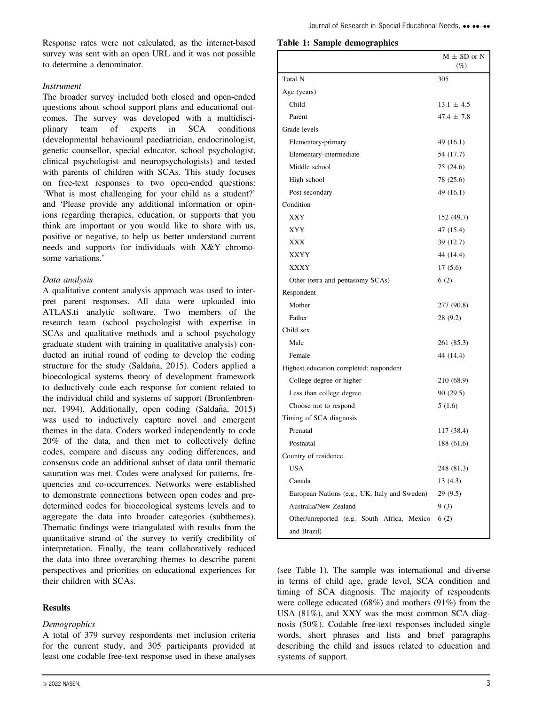Response rates were not calculated, as the internet-based survey was sent with an open URL and it was not possible to determine a denominator.

#### **Instrument**

The broader survey included both closed and open-ended questions about school support plans and educational outcomes. The survey was developed with a multidisciplinary team of experts in SCA conditions (developmental behavioural paediatrician, endocrinologist, genetic counsellor, special educator, school psychologist, clinical psychologist and neuropsychologists) and tested with parents of children with SCAs. This study focuses on free-text responses to two open-ended questions: 'What is most challenging for your child as a student?' and 'Please provide any additional information or opinions regarding therapies, education, or supports that you think are important or you would like to share with us, positive or negative, to help us better understand current needs and supports for individuals with X&Y chromosome variations.'

### Data analysis

A qualitative content analysis approach was used to interpret parent responses. All data were uploaded into ATLAS.ti analytic software. Two members of the research team (school psychologist with expertise in SCAs and qualitative methods and a school psychology graduate student with training in qualitative analysis) conducted an initial round of coding to develop the coding structure for the study (Saldaña, 2015). Coders applied a bioecological systems theory of development framework to deductively code each response for content related to the individual child and systems of support (Bronfenbrenner, 1994). Additionally, open coding (Saldaña, 2015) was used to inductively capture novel and emergent themes in the data. Coders worked independently to code 20% of the data, and then met to collectively define codes, compare and discuss any coding differences, and consensus code an additional subset of data until thematic saturation was met. Codes were analysed for patterns, frequencies and co-occurrences. Networks were established to demonstrate connections between open codes and predetermined codes for bioecological systems levels and to aggregate the data into broader categories (subthemes). Thematic findings were triangulated with results from the quantitative strand of the survey to verify credibility of interpretation. Finally, the team collaboratively reduced the data into three overarching themes to describe parent perspectives and priorities on educational experiences for their children with SCAs.

#### Results

#### **Demographics**

A total of 379 survey respondents met inclusion criteria for the current study, and 305 participants provided at least one codable free-text response used in these analyses

Table 1: Sample demographics

|                                               | $M \pm SD$ or N<br>$(\%)$ |
|-----------------------------------------------|---------------------------|
| Total N                                       | 305                       |
| Age (years)                                   |                           |
| Child                                         | $13.1 \pm 4.5$            |
| Parent                                        | 47.4 $\pm$ 7.8            |
| Grade levels                                  |                           |
| Elementary-primary                            | 49 (16.1)                 |
| Elementary-intermediate                       | 54 (17.7)                 |
| Middle school                                 | 75 (24.6)                 |
| High school                                   | 78 (25.6)                 |
| Post-secondary                                | 49 (16.1)                 |
| Condition                                     |                           |
| XXY                                           | 152 (49.7)                |
| XYY                                           | 47 (15.4)                 |
| XXX                                           | 39 (12.7)                 |
| XXYY                                          | 44 (14.4)                 |
| <b>XXXY</b>                                   | 17(5.6)                   |
| Other (tetra and pentasomy SCAs)              | 6(2)                      |
| Respondent                                    |                           |
| Mother                                        | 277 (90.8)                |
| Father                                        | 28 (9.2)                  |
| Child sex                                     |                           |
| Male                                          | 261 (85.3)                |
| Female                                        | 44 (14.4)                 |
| Highest education completed: respondent       |                           |
| College degree or higher                      | 210 (68.9)                |
| Less than college degree                      | 90 (29.5)                 |
| Choose not to respond                         | 5(1.6)                    |
| Timing of SCA diagnosis                       |                           |
| Prenatal                                      | 117 (38.4)                |
| Postnatal                                     | 188 (61.6)                |
| Country of residence                          |                           |
| <b>USA</b>                                    | 248 (81.3)                |
| Canada                                        | 13(4.3)                   |
| European Nations (e.g., UK, Italy and Sweden) | 29(9.5)                   |
| Australia/New Zealand                         | 9(3)                      |
| Other/unreported (e.g. South Africa, Mexico   | 6(2)                      |
| and Brazil)                                   |                           |

(see Table 1). The sample was international and diverse in terms of child age, grade level, SCA condition and timing of SCA diagnosis. The majority of respondents were college educated (68%) and mothers (91%) from the USA (81%), and XXY was the most common SCA diagnosis (50%). Codable free-text responses included single words, short phrases and lists and brief paragraphs describing the child and issues related to education and systems of support.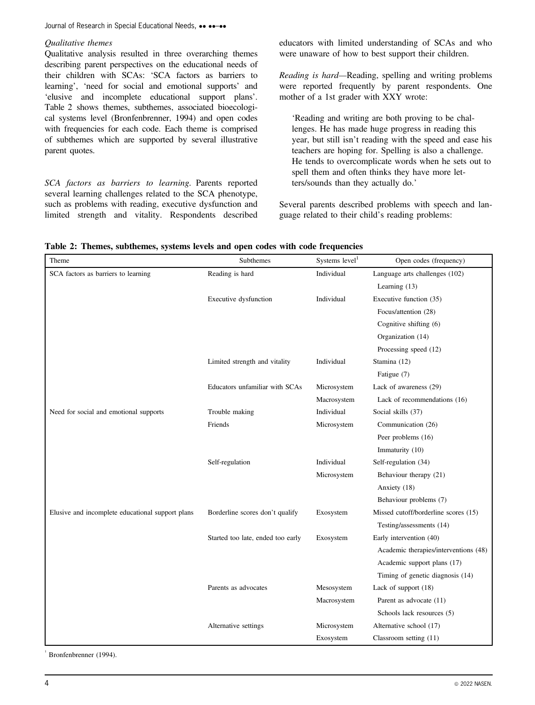## Qualitative themes

Qualitative analysis resulted in three overarching themes describing parent perspectives on the educational needs of their children with SCAs: 'SCA factors as barriers to learning', 'need for social and emotional supports' and 'elusive and incomplete educational support plans'. Table 2 shows themes, subthemes, associated bioecological systems level (Bronfenbrenner, 1994) and open codes with frequencies for each code. Each theme is comprised of subthemes which are supported by several illustrative parent quotes.

SCA factors as barriers to learning. Parents reported several learning challenges related to the SCA phenotype, such as problems with reading, executive dysfunction and limited strength and vitality. Respondents described educators with limited understanding of SCAs and who were unaware of how to best support their children.

Reading is hard—Reading, spelling and writing problems were reported frequently by parent respondents. One mother of a 1st grader with XXY wrote:

'Reading and writing are both proving to be challenges. He has made huge progress in reading this year, but still isn't reading with the speed and ease his teachers are hoping for. Spelling is also a challenge. He tends to overcomplicate words when he sets out to spell them and often thinks they have more letters/sounds than they actually do.'

Several parents described problems with speech and language related to their child's reading problems:

|  |  |  |  | Table 2: Themes, subthemes, systems levels and open codes with code frequencies |
|--|--|--|--|---------------------------------------------------------------------------------|
|--|--|--|--|---------------------------------------------------------------------------------|

| Theme                                            | Subthemes                         | Systems level <sup>1</sup> | Open codes (frequency)                |
|--------------------------------------------------|-----------------------------------|----------------------------|---------------------------------------|
| SCA factors as barriers to learning              | Reading is hard                   | Individual                 | Language arts challenges (102)        |
|                                                  |                                   |                            | Learning (13)                         |
|                                                  | Executive dysfunction             | Individual                 | Executive function (35)               |
|                                                  |                                   |                            | Focus/attention (28)                  |
|                                                  |                                   |                            | Cognitive shifting (6)                |
|                                                  |                                   |                            | Organization (14)                     |
|                                                  |                                   |                            | Processing speed (12)                 |
|                                                  | Limited strength and vitality     | Individual                 | Stamina (12)                          |
|                                                  |                                   |                            | Fatigue (7)                           |
|                                                  | Educators unfamiliar with SCAs    | Microsystem                | Lack of awareness (29)                |
|                                                  |                                   | Macrosystem                | Lack of recommendations (16)          |
| Need for social and emotional supports           | Trouble making                    | Individual                 | Social skills (37)                    |
|                                                  | Friends                           | Microsystem                | Communication (26)                    |
|                                                  |                                   |                            | Peer problems (16)                    |
|                                                  |                                   |                            | Immaturity (10)                       |
|                                                  | Self-regulation                   | Individual                 | Self-regulation (34)                  |
|                                                  |                                   | Microsystem                | Behaviour therapy (21)                |
|                                                  |                                   |                            | Anxiety (18)                          |
|                                                  |                                   |                            | Behaviour problems (7)                |
| Elusive and incomplete educational support plans | Borderline scores don't qualify   | Exosystem                  | Missed cutoff/borderline scores (15)  |
|                                                  |                                   |                            | Testing/assessments (14)              |
|                                                  | Started too late, ended too early | Exosystem                  | Early intervention (40)               |
|                                                  |                                   |                            | Academic therapies/interventions (48) |
|                                                  |                                   |                            | Academic support plans (17)           |
|                                                  |                                   |                            | Timing of genetic diagnosis (14)      |
|                                                  | Parents as advocates              | Mesosystem                 | Lack of support (18)                  |
|                                                  |                                   | Macrosystem                | Parent as advocate (11)               |
|                                                  |                                   |                            | Schools lack resources (5)            |
|                                                  | Alternative settings              | Microsystem                | Alternative school (17)               |
|                                                  |                                   | Exosystem                  | Classroom setting (11)                |

Bronfenbrenner (1994).

1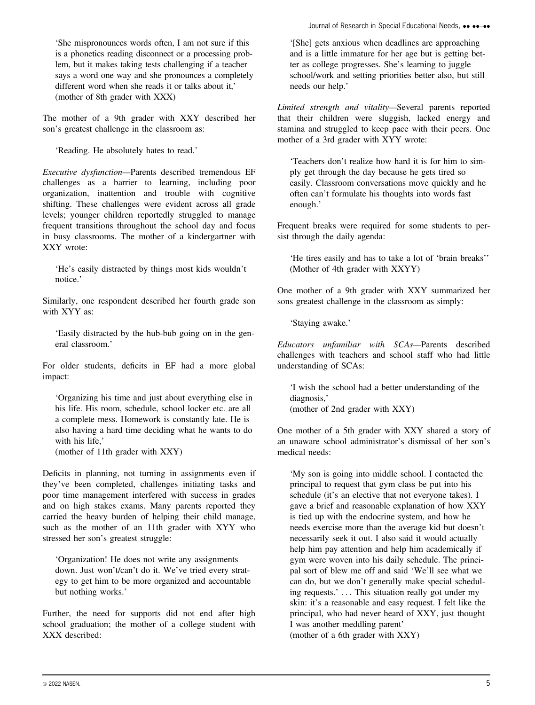'She mispronounces words often, I am not sure if this is a phonetics reading disconnect or a processing problem, but it makes taking tests challenging if a teacher says a word one way and she pronounces a completely different word when she reads it or talks about it,' (mother of 8th grader with XXX)

The mother of a 9th grader with XXY described her son's greatest challenge in the classroom as:

'Reading. He absolutely hates to read.'

Executive dysfunction—Parents described tremendous EF challenges as a barrier to learning, including poor organization, inattention and trouble with cognitive shifting. These challenges were evident across all grade levels; younger children reportedly struggled to manage frequent transitions throughout the school day and focus in busy classrooms. The mother of a kindergartner with XXY wrote:

'He's easily distracted by things most kids wouldn't notice.'

Similarly, one respondent described her fourth grade son with XYY as:

'Easily distracted by the hub-bub going on in the general classroom.'

For older students, deficits in EF had a more global impact:

'Organizing his time and just about everything else in his life. His room, schedule, school locker etc. are all a complete mess. Homework is constantly late. He is also having a hard time deciding what he wants to do with his life,'

(mother of 11th grader with XXY)

Deficits in planning, not turning in assignments even if they've been completed, challenges initiating tasks and poor time management interfered with success in grades and on high stakes exams. Many parents reported they carried the heavy burden of helping their child manage, such as the mother of an 11th grader with XYY who stressed her son's greatest struggle:

'Organization! He does not write any assignments down. Just won't/can't do it. We've tried every strategy to get him to be more organized and accountable but nothing works.'

Further, the need for supports did not end after high school graduation; the mother of a college student with XXX described:

'[She] gets anxious when deadlines are approaching and is a little immature for her age but is getting better as college progresses. She's learning to juggle school/work and setting priorities better also, but still needs our help.'

Limited strength and vitality—Several parents reported that their children were sluggish, lacked energy and stamina and struggled to keep pace with their peers. One mother of a 3rd grader with XYY wrote:

'Teachers don't realize how hard it is for him to simply get through the day because he gets tired so easily. Classroom conversations move quickly and he often can't formulate his thoughts into words fast enough.'

Frequent breaks were required for some students to persist through the daily agenda:

'He tires easily and has to take a lot of 'brain breaks'' (Mother of 4th grader with XXYY)

One mother of a 9th grader with XXY summarized her sons greatest challenge in the classroom as simply:

'Staying awake.'

Educators unfamiliar with SCAs—Parents described challenges with teachers and school staff who had little understanding of SCAs:

'I wish the school had a better understanding of the diagnosis,' (mother of 2nd grader with XXY)

One mother of a 5th grader with XXY shared a story of an unaware school administrator's dismissal of her son's medical needs:

'My son is going into middle school. I contacted the principal to request that gym class be put into his schedule (it's an elective that not everyone takes). I gave a brief and reasonable explanation of how XXY is tied up with the endocrine system, and how he needs exercise more than the average kid but doesn't necessarily seek it out. I also said it would actually help him pay attention and help him academically if gym were woven into his daily schedule. The principal sort of blew me off and said 'We'll see what we can do, but we don't generally make special scheduling requests.' ... This situation really got under my skin: it's a reasonable and easy request. I felt like the principal, who had never heard of XXY, just thought I was another meddling parent' (mother of a 6th grader with XXY)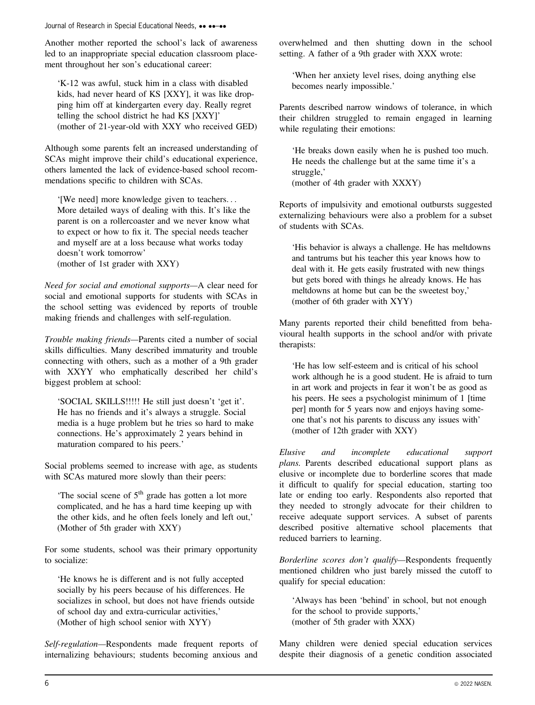Journal of Research in Special Educational Needs, ... ...

Another mother reported the school's lack of awareness led to an inappropriate special education classroom placement throughout her son's educational career:

'K-12 was awful, stuck him in a class with disabled kids, had never heard of KS [XXY], it was like dropping him off at kindergarten every day. Really regret telling the school district he had KS [XXY]' (mother of 21-year-old with XXY who received GED)

Although some parents felt an increased understanding of SCAs might improve their child's educational experience, others lamented the lack of evidence-based school recommendations specific to children with SCAs.

'[We need] more knowledge given to teachers... More detailed ways of dealing with this. It's like the parent is on a rollercoaster and we never know what to expect or how to fix it. The special needs teacher and myself are at a loss because what works today doesn't work tomorrow' (mother of 1st grader with XXY)

Need for social and emotional supports—A clear need for social and emotional supports for students with SCAs in the school setting was evidenced by reports of trouble making friends and challenges with self-regulation.

Trouble making friends—Parents cited a number of social skills difficulties. Many described immaturity and trouble connecting with others, such as a mother of a 9th grader with XXYY who emphatically described her child's biggest problem at school:

'SOCIAL SKILLS!!!!! He still just doesn't 'get it'. He has no friends and it's always a struggle. Social media is a huge problem but he tries so hard to make connections. He's approximately 2 years behind in maturation compared to his peers.'

Social problems seemed to increase with age, as students with SCAs matured more slowly than their peers:

'The social scene of  $5<sup>th</sup>$  grade has gotten a lot more complicated, and he has a hard time keeping up with the other kids, and he often feels lonely and left out,' (Mother of 5th grader with XXY)

For some students, school was their primary opportunity to socialize:

'He knows he is different and is not fully accepted socially by his peers because of his differences. He socializes in school, but does not have friends outside of school day and extra-curricular activities,' (Mother of high school senior with XYY)

Self-regulation—Respondents made frequent reports of internalizing behaviours; students becoming anxious and

overwhelmed and then shutting down in the school setting. A father of a 9th grader with XXX wrote:

'When her anxiety level rises, doing anything else becomes nearly impossible.'

Parents described narrow windows of tolerance, in which their children struggled to remain engaged in learning while regulating their emotions:

'He breaks down easily when he is pushed too much. He needs the challenge but at the same time it's a struggle,' (mother of 4th grader with XXXY)

Reports of impulsivity and emotional outbursts suggested externalizing behaviours were also a problem for a subset of students with SCAs.

'His behavior is always a challenge. He has meltdowns and tantrums but his teacher this year knows how to deal with it. He gets easily frustrated with new things but gets bored with things he already knows. He has meltdowns at home but can be the sweetest boy,' (mother of 6th grader with XYY)

Many parents reported their child benefitted from behavioural health supports in the school and/or with private therapists:

'He has low self-esteem and is critical of his school work although he is a good student. He is afraid to turn in art work and projects in fear it won't be as good as his peers. He sees a psychologist minimum of 1 [time per] month for 5 years now and enjoys having someone that's not his parents to discuss any issues with' (mother of 12th grader with XXY)

Elusive and incomplete educational support plans. Parents described educational support plans as elusive or incomplete due to borderline scores that made it difficult to qualify for special education, starting too late or ending too early. Respondents also reported that they needed to strongly advocate for their children to receive adequate support services. A subset of parents described positive alternative school placements that reduced barriers to learning.

Borderline scores don't qualify—Respondents frequently mentioned children who just barely missed the cutoff to qualify for special education:

'Always has been 'behind' in school, but not enough for the school to provide supports,' (mother of 5th grader with XXX)

Many children were denied special education services despite their diagnosis of a genetic condition associated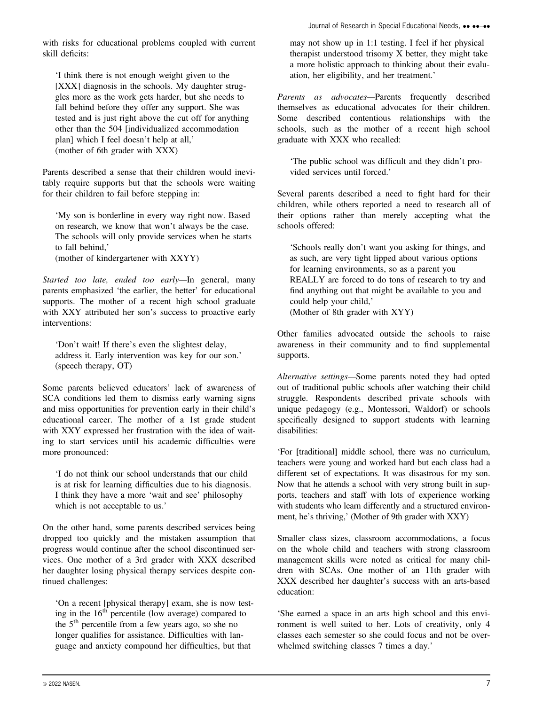with risks for educational problems coupled with current skill deficits:

'I think there is not enough weight given to the [XXX] diagnosis in the schools. My daughter struggles more as the work gets harder, but she needs to fall behind before they offer any support. She was tested and is just right above the cut off for anything other than the 504 [individualized accommodation plan] which I feel doesn't help at all,' (mother of 6th grader with XXX)

Parents described a sense that their children would inevitably require supports but that the schools were waiting for their children to fail before stepping in:

'My son is borderline in every way right now. Based on research, we know that won't always be the case. The schools will only provide services when he starts to fall behind,'

(mother of kindergartener with XXYY)

Started too late, ended too early-In general, many parents emphasized 'the earlier, the better' for educational supports. The mother of a recent high school graduate with XXY attributed her son's success to proactive early interventions:

'Don't wait! If there's even the slightest delay, address it. Early intervention was key for our son.' (speech therapy, OT)

Some parents believed educators' lack of awareness of SCA conditions led them to dismiss early warning signs and miss opportunities for prevention early in their child's educational career. The mother of a 1st grade student with XXY expressed her frustration with the idea of waiting to start services until his academic difficulties were more pronounced:

'I do not think our school understands that our child is at risk for learning difficulties due to his diagnosis. I think they have a more 'wait and see' philosophy which is not acceptable to us.'

On the other hand, some parents described services being dropped too quickly and the mistaken assumption that progress would continue after the school discontinued services. One mother of a 3rd grader with XXX described her daughter losing physical therapy services despite continued challenges:

'On a recent [physical therapy] exam, she is now testing in the  $16<sup>th</sup>$  percentile (low average) compared to the 5<sup>th</sup> percentile from a few years ago, so she no longer qualifies for assistance. Difficulties with language and anxiety compound her difficulties, but that

may not show up in 1:1 testing. I feel if her physical therapist understood trisomy X better, they might take a more holistic approach to thinking about their evaluation, her eligibility, and her treatment.'

Parents as advocates—Parents frequently described themselves as educational advocates for their children. Some described contentious relationships with the schools, such as the mother of a recent high school graduate with XXX who recalled:

'The public school was difficult and they didn't provided services until forced.'

Several parents described a need to fight hard for their children, while others reported a need to research all of their options rather than merely accepting what the schools offered:

'Schools really don't want you asking for things, and as such, are very tight lipped about various options for learning environments, so as a parent you REALLY are forced to do tons of research to try and find anything out that might be available to you and could help your child,' (Mother of 8th grader with XYY)

Other families advocated outside the schools to raise awareness in their community and to find supplemental supports.

Alternative settings—Some parents noted they had opted out of traditional public schools after watching their child struggle. Respondents described private schools with unique pedagogy (e.g., Montessori, Waldorf) or schools specifically designed to support students with learning disabilities:

'For [traditional] middle school, there was no curriculum, teachers were young and worked hard but each class had a different set of expectations. It was disastrous for my son. Now that he attends a school with very strong built in supports, teachers and staff with lots of experience working with students who learn differently and a structured environment, he's thriving,' (Mother of 9th grader with XXY)

Smaller class sizes, classroom accommodations, a focus on the whole child and teachers with strong classroom management skills were noted as critical for many children with SCAs. One mother of an 11th grader with XXX described her daughter's success with an arts-based education:

'She earned a space in an arts high school and this environment is well suited to her. Lots of creativity, only 4 classes each semester so she could focus and not be overwhelmed switching classes 7 times a day.'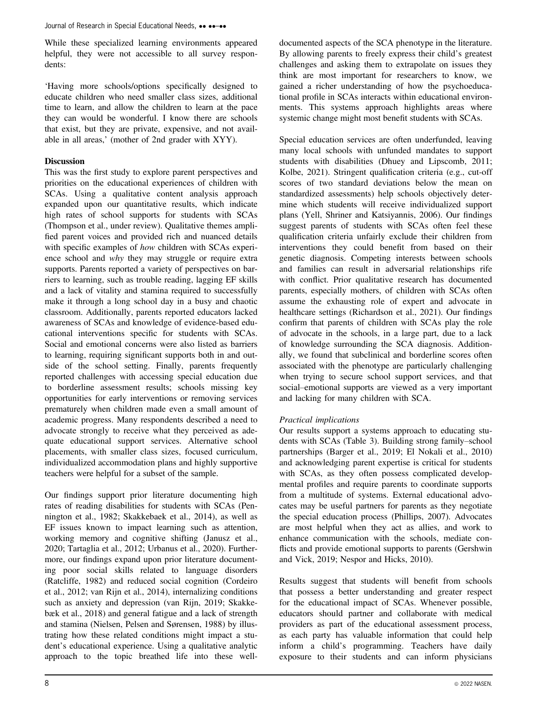While these specialized learning environments appeared helpful, they were not accessible to all survey respondents:

'Having more schools/options specifically designed to educate children who need smaller class sizes, additional time to learn, and allow the children to learn at the pace they can would be wonderful. I know there are schools that exist, but they are private, expensive, and not available in all areas,' (mother of 2nd grader with XYY).

# **Discussion**

This was the first study to explore parent perspectives and priorities on the educational experiences of children with SCAs. Using a qualitative content analysis approach expanded upon our quantitative results, which indicate high rates of school supports for students with SCAs (Thompson et al., under review). Qualitative themes amplified parent voices and provided rich and nuanced details with specific examples of how children with SCAs experience school and why they may struggle or require extra supports. Parents reported a variety of perspectives on barriers to learning, such as trouble reading, lagging EF skills and a lack of vitality and stamina required to successfully make it through a long school day in a busy and chaotic classroom. Additionally, parents reported educators lacked awareness of SCAs and knowledge of evidence-based educational interventions specific for students with SCAs. Social and emotional concerns were also listed as barriers to learning, requiring significant supports both in and outside of the school setting. Finally, parents frequently reported challenges with accessing special education due to borderline assessment results; schools missing key opportunities for early interventions or removing services prematurely when children made even a small amount of academic progress. Many respondents described a need to advocate strongly to receive what they perceived as adequate educational support services. Alternative school placements, with smaller class sizes, focused curriculum, individualized accommodation plans and highly supportive teachers were helpful for a subset of the sample.

Our findings support prior literature documenting high rates of reading disabilities for students with SCAs (Pennington et al., 1982; Skakkebaek et al., 2014), as well as EF issues known to impact learning such as attention, working memory and cognitive shifting (Janusz et al., 2020; Tartaglia et al., 2012; Urbanus et al., 2020). Furthermore, our findings expand upon prior literature documenting poor social skills related to language disorders (Ratcliffe, 1982) and reduced social cognition (Cordeiro et al., 2012; van Rijn et al., 2014), internalizing conditions such as anxiety and depression (van Rijn, 2019; Skakkebæk et al., 2018) and general fatigue and a lack of strength and stamina (Nielsen, Pelsen and Sørensen, 1988) by illustrating how these related conditions might impact a student's educational experience. Using a qualitative analytic approach to the topic breathed life into these welldocumented aspects of the SCA phenotype in the literature. By allowing parents to freely express their child's greatest challenges and asking them to extrapolate on issues they think are most important for researchers to know, we gained a richer understanding of how the psychoeducational profile in SCAs interacts within educational environments. This systems approach highlights areas where systemic change might most benefit students with SCAs.

Special education services are often underfunded, leaving many local schools with unfunded mandates to support students with disabilities (Dhuey and Lipscomb, 2011; Kolbe, 2021). Stringent qualification criteria (e.g., cut-off scores of two standard deviations below the mean on standardized assessments) help schools objectively determine which students will receive individualized support plans (Yell, Shriner and Katsiyannis, 2006). Our findings suggest parents of students with SCAs often feel these qualification criteria unfairly exclude their children from interventions they could benefit from based on their genetic diagnosis. Competing interests between schools and families can result in adversarial relationships rife with conflict. Prior qualitative research has documented parents, especially mothers, of children with SCAs often assume the exhausting role of expert and advocate in healthcare settings (Richardson et al., 2021). Our findings confirm that parents of children with SCAs play the role of advocate in the schools, in a large part, due to a lack of knowledge surrounding the SCA diagnosis. Additionally, we found that subclinical and borderline scores often associated with the phenotype are particularly challenging when trying to secure school support services, and that social–emotional supports are viewed as a very important and lacking for many children with SCA.

# Practical implications

Our results support a systems approach to educating students with SCAs (Table 3). Building strong family–school partnerships (Barger et al., 2019; El Nokali et al., 2010) and acknowledging parent expertise is critical for students with SCAs, as they often possess complicated developmental profiles and require parents to coordinate supports from a multitude of systems. External educational advocates may be useful partners for parents as they negotiate the special education process (Phillips, 2007). Advocates are most helpful when they act as allies, and work to enhance communication with the schools, mediate conflicts and provide emotional supports to parents (Gershwin and Vick, 2019; Nespor and Hicks, 2010).

Results suggest that students will benefit from schools that possess a better understanding and greater respect for the educational impact of SCAs. Whenever possible, educators should partner and collaborate with medical providers as part of the educational assessment process, as each party has valuable information that could help inform a child's programming. Teachers have daily exposure to their students and can inform physicians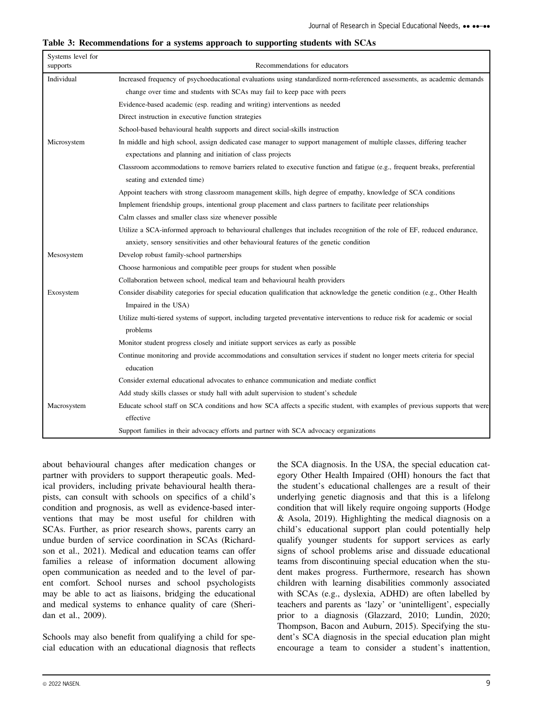| Systems level for<br>supports | Recommendations for educators                                                                                                                         |
|-------------------------------|-------------------------------------------------------------------------------------------------------------------------------------------------------|
| Individual                    | Increased frequency of psychoeducational evaluations using standardized norm-referenced assessments, as academic demands                              |
|                               | change over time and students with SCAs may fail to keep pace with peers                                                                              |
|                               | Evidence-based academic (esp. reading and writing) interventions as needed                                                                            |
|                               | Direct instruction in executive function strategies                                                                                                   |
|                               | School-based behavioural health supports and direct social-skills instruction                                                                         |
| Microsystem                   | In middle and high school, assign dedicated case manager to support management of multiple classes, differing teacher                                 |
|                               | expectations and planning and initiation of class projects                                                                                            |
|                               | Classroom accommodations to remove barriers related to executive function and fatigue (e.g., frequent breaks, preferential                            |
|                               | seating and extended time)                                                                                                                            |
|                               | Appoint teachers with strong classroom management skills, high degree of empathy, knowledge of SCA conditions                                         |
|                               | Implement friendship groups, intentional group placement and class partners to facilitate peer relationships                                          |
|                               | Calm classes and smaller class size whenever possible                                                                                                 |
|                               | Utilize a SCA-informed approach to behavioural challenges that includes recognition of the role of EF, reduced endurance,                             |
|                               | anxiety, sensory sensitivities and other behavioural features of the genetic condition                                                                |
| Mesosystem                    | Develop robust family-school partnerships                                                                                                             |
|                               | Choose harmonious and compatible peer groups for student when possible                                                                                |
|                               | Collaboration between school, medical team and behavioural health providers                                                                           |
| Exosystem                     | Consider disability categories for special education qualification that acknowledge the genetic condition (e.g., Other Health<br>Impaired in the USA) |
|                               | Utilize multi-tiered systems of support, including targeted preventative interventions to reduce risk for academic or social<br>problems              |
|                               | Monitor student progress closely and initiate support services as early as possible                                                                   |
|                               | Continue monitoring and provide accommodations and consultation services if student no longer meets criteria for special<br>education                 |
|                               | Consider external educational advocates to enhance communication and mediate conflict                                                                 |
|                               | Add study skills classes or study hall with adult supervision to student's schedule                                                                   |
| Macrosystem                   | Educate school staff on SCA conditions and how SCA affects a specific student, with examples of previous supports that were<br>effective              |
|                               | Support families in their advocacy efforts and partner with SCA advocacy organizations                                                                |

| Table 3: Recommendations for a systems approach to supporting students with SCAs |  |  |  |  |
|----------------------------------------------------------------------------------|--|--|--|--|
|                                                                                  |  |  |  |  |

about behavioural changes after medication changes or partner with providers to support therapeutic goals. Medical providers, including private behavioural health therapists, can consult with schools on specifics of a child's condition and prognosis, as well as evidence-based interventions that may be most useful for children with SCAs. Further, as prior research shows, parents carry an undue burden of service coordination in SCAs (Richardson et al., 2021). Medical and education teams can offer families a release of information document allowing open communication as needed and to the level of parent comfort. School nurses and school psychologists may be able to act as liaisons, bridging the educational and medical systems to enhance quality of care (Sheridan et al., 2009).

Schools may also benefit from qualifying a child for special education with an educational diagnosis that reflects

the SCA diagnosis. In the USA, the special education category Other Health Impaired (OHI) honours the fact that the student's educational challenges are a result of their underlying genetic diagnosis and that this is a lifelong condition that will likely require ongoing supports (Hodge & Asola, 2019). Highlighting the medical diagnosis on a child's educational support plan could potentially help qualify younger students for support services as early signs of school problems arise and dissuade educational teams from discontinuing special education when the student makes progress. Furthermore, research has shown children with learning disabilities commonly associated with SCAs (e.g., dyslexia, ADHD) are often labelled by teachers and parents as 'lazy' or 'unintelligent', especially prior to a diagnosis (Glazzard, 2010; Lundin, 2020; Thompson, Bacon and Auburn, 2015). Specifying the student's SCA diagnosis in the special education plan might encourage a team to consider a student's inattention,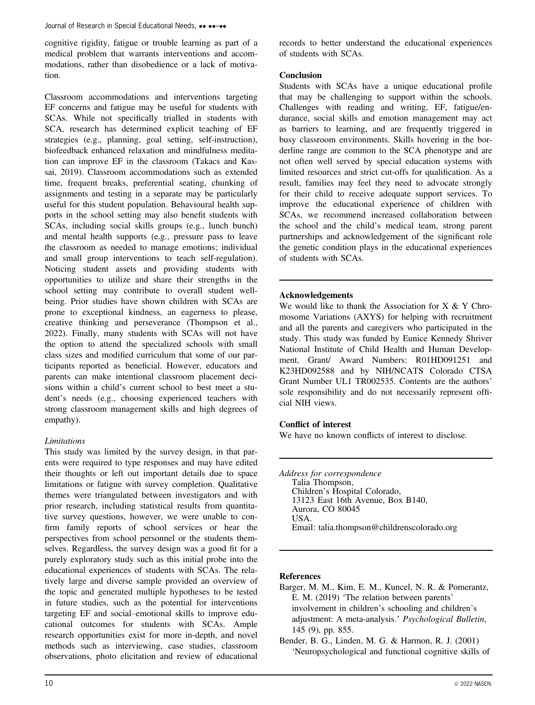cognitive rigidity, fatigue or trouble learning as part of a medical problem that warrants interventions and accommodations, rather than disobedience or a lack of motivation.

Classroom accommodations and interventions targeting EF concerns and fatigue may be useful for students with SCAs. While not specifically trialled in students with SCA, research has determined explicit teaching of EF strategies (e.g., planning, goal setting, self-instruction), biofeedback enhanced relaxation and mindfulness meditation can improve EF in the classroom (Takacs and Kassai, 2019). Classroom accommodations such as extended time, frequent breaks, preferential seating, chunking of assignments and testing in a separate may be particularly useful for this student population. Behavioural health supports in the school setting may also benefit students with SCAs, including social skills groups (e.g., lunch bunch) and mental health supports (e.g., pressure pass to leave the classroom as needed to manage emotions; individual and small group interventions to teach self-regulation). Noticing student assets and providing students with opportunities to utilize and share their strengths in the school setting may contribute to overall student wellbeing. Prior studies have shown children with SCAs are prone to exceptional kindness, an eagerness to please, creative thinking and perseverance (Thompson et al., 2022). Finally, many students with SCAs will not have the option to attend the specialized schools with small class sizes and modified curriculum that some of our participants reported as beneficial. However, educators and parents can make intentional classroom placement decisions within a child's current school to best meet a student's needs (e.g., choosing experienced teachers with strong classroom management skills and high degrees of empathy).

# Limitations

This study was limited by the survey design, in that parents were required to type responses and may have edited their thoughts or left out important details due to space limitations or fatigue with survey completion. Qualitative themes were triangulated between investigators and with prior research, including statistical results from quantitative survey questions, however, we were unable to confirm family reports of school services or hear the perspectives from school personnel or the students themselves. Regardless, the survey design was a good fit for a purely exploratory study such as this initial probe into the educational experiences of students with SCAs. The relatively large and diverse sample provided an overview of the topic and generated multiple hypotheses to be tested in future studies, such as the potential for interventions targeting EF and social–emotional skills to improve educational outcomes for students with SCAs. Ample research opportunities exist for more in-depth, and novel methods such as interviewing, case studies, classroom observations, photo elicitation and review of educational

## **Conclusion**

Students with SCAs have a unique educational profile that may be challenging to support within the schools. Challenges with reading and writing, EF, fatigue/endurance, social skills and emotion management may act as barriers to learning, and are frequently triggered in busy classroom environments. Skills hovering in the borderline range are common to the SCA phenotype and are not often well served by special education systems with limited resources and strict cut-offs for qualification. As a result, families may feel they need to advocate strongly for their child to receive adequate support services. To improve the educational experience of children with SCAs, we recommend increased collaboration between the school and the child's medical team, strong parent partnerships and acknowledgement of the significant role the genetic condition plays in the educational experiences of students with SCAs.

# Acknowledgements

We would like to thank the Association for  $X & Y$  Chromosome Variations (AXYS) for helping with recruitment and all the parents and caregivers who participated in the study. This study was funded by Eunice Kennedy Shriver National Institute of Child Health and Human Development, Grant/ Award Numbers: R01HD091251 and K23HD092588 and by NIH/NCATS Colorado CTSA Grant Number UL1 TR002535. Contents are the authors' sole responsibility and do not necessarily represent official NIH views.

# Conflict of interest

We have no known conflicts of interest to disclose.

Address for correspondence Talia Thompson, Children's Hospital Colorado, 13123 East 16th Avenue, Box B140, Aurora, CO 80045 USA. Email: [talia.thompson@childrenscolorado.org](mailto:)

## **References**

- Barger, M. M., Kim, E. M., Kuncel, N. R. & Pomerantz, E. M. (2019) 'The relation between parents' involvement in children's schooling and children's adjustment: A meta-analysis.' Psychological Bulletin, 145 (9), pp. 855.
- Bender, B. G., Linden, M. G. & Harmon, R. J. (2001) 'Neuropsychological and functional cognitive skills of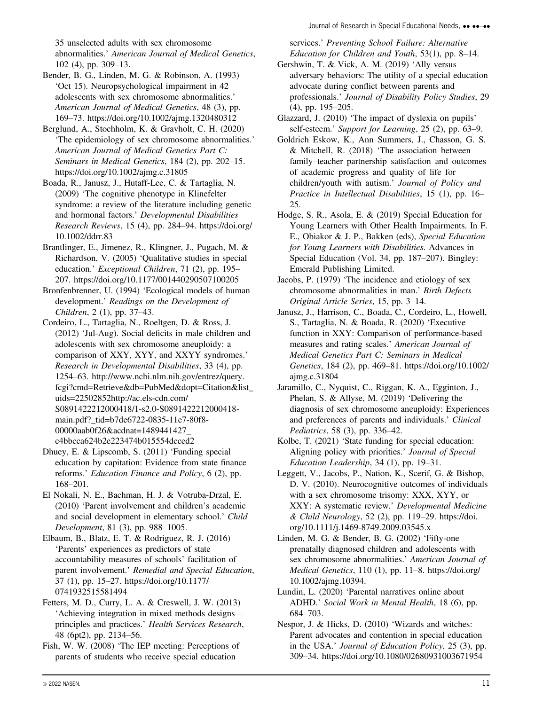35 unselected adults with sex chromosome abnormalities.' American Journal of Medical Genetics, 102 (4), pp. 309–13.

Bender, B. G., Linden, M. G. & Robinson, A. (1993) 'Oct 15). Neuropsychological impairment in 42 adolescents with sex chromosome abnormalities.' American Journal of Medical Genetics, 48 (3), pp. 169–73.<https://doi.org/10.1002/ajmg.1320480312>

Berglund, A., Stochholm, K. & Gravholt, C. H. (2020) 'The epidemiology of sex chromosome abnormalities.' American Journal of Medical Genetics Part C: Seminars in Medical Genetics, 184 (2), pp. 202–15. <https://doi.org/10.1002/ajmg.c.31805>

Boada, R., Janusz, J., Hutaff-Lee, C. & Tartaglia, N. (2009) 'The cognitive phenotype in Klinefelter syndrome: a review of the literature including genetic and hormonal factors.' Developmental Disabilities Research Reviews, 15 (4), pp. 284–94. [https://doi.org/](https://doi.org/10.1002/ddrr.83) [10.1002/ddrr.83](https://doi.org/10.1002/ddrr.83)

Brantlinger, E., Jimenez, R., Klingner, J., Pugach, M. & Richardson, V. (2005) 'Qualitative studies in special education.' Exceptional Children, 71 (2), pp. 195– 207.<https://doi.org/10.1177/001440290507100205>

Bronfenbrenner, U. (1994) 'Ecological models of human development.' Readings on the Development of Children, 2 (1), pp. 37–43.

Cordeiro, L., Tartaglia, N., Roeltgen, D. & Ross, J. (2012) 'Jul-Aug). Social deficits in male children and adolescents with sex chromosome aneuploidy: a comparison of XXY, XYY, and XXYY syndromes.' Research in Developmental Disabilities, 33 (4), pp. 1254–63. [http://www.ncbi.nlm.nih.gov/entrez/query.](http://www.ncbi.nlm.nih.gov/entrez/query.fcgi?cmd=Retrieve&db=PubMed&dopt=Citation&list_uids=22502852http://ac.els-cdn.com/S0891422212000418/1-s2.0-S0891422212000418-main.pdf?_tid=b7de6722-0835-11e7-80f8-00000aab0f26&acdnat=1489441427_c4bbcca624b2e223474b015554dcced2) [fcgi?cmd=Retrieve&db=PubMed&dopt=Citation&list\\_](http://www.ncbi.nlm.nih.gov/entrez/query.fcgi?cmd=Retrieve&db=PubMed&dopt=Citation&list_uids=22502852http://ac.els-cdn.com/S0891422212000418/1-s2.0-S0891422212000418-main.pdf?_tid=b7de6722-0835-11e7-80f8-00000aab0f26&acdnat=1489441427_c4bbcca624b2e223474b015554dcced2) [uids=22502852http://ac.els-cdn.com/](http://www.ncbi.nlm.nih.gov/entrez/query.fcgi?cmd=Retrieve&db=PubMed&dopt=Citation&list_uids=22502852http://ac.els-cdn.com/S0891422212000418/1-s2.0-S0891422212000418-main.pdf?_tid=b7de6722-0835-11e7-80f8-00000aab0f26&acdnat=1489441427_c4bbcca624b2e223474b015554dcced2) [S0891422212000418/1-s2.0-S0891422212000418](http://www.ncbi.nlm.nih.gov/entrez/query.fcgi?cmd=Retrieve&db=PubMed&dopt=Citation&list_uids=22502852http://ac.els-cdn.com/S0891422212000418/1-s2.0-S0891422212000418-main.pdf?_tid=b7de6722-0835-11e7-80f8-00000aab0f26&acdnat=1489441427_c4bbcca624b2e223474b015554dcced2) [main.pdf?\\_tid=b7de6722-0835-11e7-80f8-](http://www.ncbi.nlm.nih.gov/entrez/query.fcgi?cmd=Retrieve&db=PubMed&dopt=Citation&list_uids=22502852http://ac.els-cdn.com/S0891422212000418/1-s2.0-S0891422212000418-main.pdf?_tid=b7de6722-0835-11e7-80f8-00000aab0f26&acdnat=1489441427_c4bbcca624b2e223474b015554dcced2) [00000aab0f26&acdnat=1489441427\\_](http://www.ncbi.nlm.nih.gov/entrez/query.fcgi?cmd=Retrieve&db=PubMed&dopt=Citation&list_uids=22502852http://ac.els-cdn.com/S0891422212000418/1-s2.0-S0891422212000418-main.pdf?_tid=b7de6722-0835-11e7-80f8-00000aab0f26&acdnat=1489441427_c4bbcca624b2e223474b015554dcced2) [c4bbcca624b2e223474b015554dcced2](http://www.ncbi.nlm.nih.gov/entrez/query.fcgi?cmd=Retrieve&db=PubMed&dopt=Citation&list_uids=22502852http://ac.els-cdn.com/S0891422212000418/1-s2.0-S0891422212000418-main.pdf?_tid=b7de6722-0835-11e7-80f8-00000aab0f26&acdnat=1489441427_c4bbcca624b2e223474b015554dcced2)

Dhuey, E. & Lipscomb, S. (2011) 'Funding special education by capitation: Evidence from state finance reforms.' Education Finance and Policy, 6 (2), pp. 168–201.

El Nokali, N. E., Bachman, H. J. & Votruba-Drzal, E. (2010) 'Parent involvement and children's academic and social development in elementary school.' Child Development, 81 (3), pp. 988–1005.

Elbaum, B., Blatz, E. T. & Rodriguez, R. J. (2016) 'Parents' experiences as predictors of state accountability measures of schools' facilitation of parent involvement.' Remedial and Special Education, 37 (1), pp. 15–27. [https://doi.org/10.1177/](https://doi.org/10.1177/0741932515581494) [0741932515581494](https://doi.org/10.1177/0741932515581494)

Fetters, M. D., Curry, L. A. & Creswell, J. W. (2013) 'Achieving integration in mixed methods designs principles and practices.' Health Services Research, 48 (6pt2), pp. 2134–56.

Fish, W. W. (2008) 'The IEP meeting: Perceptions of parents of students who receive special education

services.' Preventing School Failure: Alternative Education for Children and Youth, 53(1), pp. 8–14.

Gershwin, T. & Vick, A. M. (2019) 'Ally versus adversary behaviors: The utility of a special education advocate during conflict between parents and professionals.' Journal of Disability Policy Studies, 29 (4), pp. 195–205.

Glazzard, J. (2010) 'The impact of dyslexia on pupils' self-esteem.' Support for Learning, 25 (2), pp. 63–9.

Goldrich Eskow, K., Ann Summers, J., Chasson, G. S. & Mitchell, R. (2018) 'The association between family–teacher partnership satisfaction and outcomes of academic progress and quality of life for children/youth with autism.' Journal of Policy and Practice in Intellectual Disabilities, 15 (1), pp. 16– 25.

Hodge, S. R., Asola, E. & (2019) Special Education for Young Learners with Other Health Impairments. In F. E., Obiakor & J. P., Bakken (eds), Special Education for Young Learners with Disabilities. Advances in Special Education (Vol. 34, pp. 187–207). Bingley: Emerald Publishing Limited.

Jacobs, P. (1979) 'The incidence and etiology of sex chromosome abnormalities in man.' Birth Defects Original Article Series, 15, pp. 3–14.

Janusz, J., Harrison, C., Boada, C., Cordeiro, L., Howell, S., Tartaglia, N. & Boada, R. (2020) 'Executive function in XXY: Comparison of performance-based measures and rating scales.' American Journal of Medical Genetics Part C: Seminars in Medical Genetics, 184 (2), pp. 469–81. [https://doi.org/10.1002/](https://doi.org/10.1002/ajmg.c.31804) [ajmg.c.31804](https://doi.org/10.1002/ajmg.c.31804)

Jaramillo, C., Nyquist, C., Riggan, K. A., Egginton, J., Phelan, S. & Allyse, M. (2019) 'Delivering the diagnosis of sex chromosome aneuploidy: Experiences and preferences of parents and individuals.' Clinical Pediatrics, 58 (3), pp. 336–42.

Kolbe, T. (2021) 'State funding for special education: Aligning policy with priorities.' Journal of Special Education Leadership, 34 (1), pp. 19–31.

Leggett, V., Jacobs, P., Nation, K., Scerif, G. & Bishop, D. V. (2010). Neurocognitive outcomes of individuals with a sex chromosome trisomy: XXX, XYY, or XXY: A systematic review.' Developmental Medicine & Child Neurology, 52 (2), pp. 119–29. [https://doi.](https://doi.org/10.1111/j.1469-8749.2009.03545.x) [org/10.1111/j.1469-8749.2009.03545.x](https://doi.org/10.1111/j.1469-8749.2009.03545.x)

Linden, M. G. & Bender, B. G. (2002) 'Fifty-one prenatally diagnosed children and adolescents with sex chromosome abnormalities.' American Journal of Medical Genetics, 110 (1), pp. 11–8. [https://doi.org/](https://doi.org/10.1002/ajmg.10394) [10.1002/ajmg.10394](https://doi.org/10.1002/ajmg.10394).

Lundin, L. (2020) 'Parental narratives online about ADHD.' Social Work in Mental Health, 18 (6), pp. 684–703.

Nespor, J. & Hicks, D. (2010) 'Wizards and witches: Parent advocates and contention in special education in the USA.' Journal of Education Policy, 25 (3), pp. 309–34.<https://doi.org/10.1080/02680931003671954>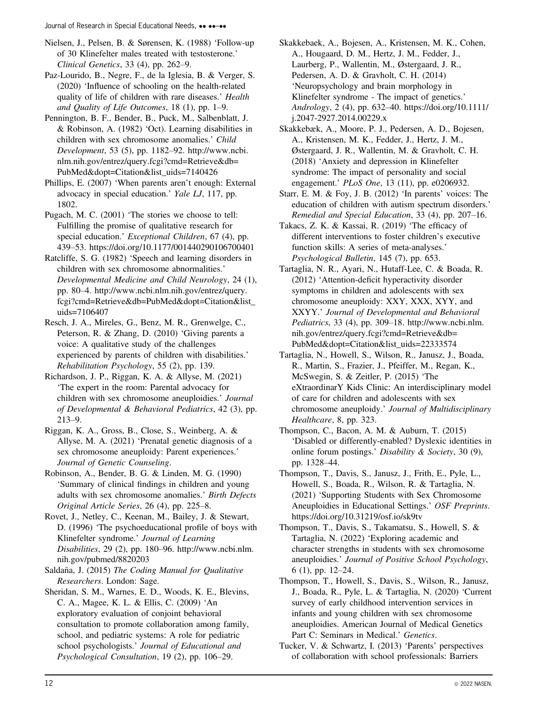- Nielsen, J., Pelsen, B. & Sørensen, K. (1988) 'Follow-up of 30 Klinefelter males treated with testosterone.' Clinical Genetics, 33 (4), pp. 262–9.
- Paz-Lourido, B., Negre, F., de la Iglesia, B. & Verger, S. (2020) 'Influence of schooling on the health-related quality of life of children with rare diseases.' Health and Quality of Life Outcomes, 18 (1), pp. 1–9.
- Pennington, B. F., Bender, B., Puck, M., Salbenblatt, J. & Robinson, A. (1982) 'Oct). Learning disabilities in children with sex chromosome anomalies.' Child Development, 53 (5), pp. 1182–92. [http://www.ncbi.](http://www.ncbi.nlm.nih.gov/entrez/query.fcgi?cmd=Retrieve&db=PubMed&dopt=Citation&list_uids=7140426) [nlm.nih.gov/entrez/query.fcgi?cmd=Retrieve&db=](http://www.ncbi.nlm.nih.gov/entrez/query.fcgi?cmd=Retrieve&db=PubMed&dopt=Citation&list_uids=7140426) [PubMed&dopt=Citation&list\\_uids=7140426](http://www.ncbi.nlm.nih.gov/entrez/query.fcgi?cmd=Retrieve&db=PubMed&dopt=Citation&list_uids=7140426)
- Phillips, E. (2007) 'When parents aren't enough: External advocacy in special education.' Yale LJ, 117, pp. 1802.
- Pugach, M. C. (2001) 'The stories we choose to tell: Fulfilling the promise of qualitative research for special education.' *Exceptional Children*, 67 (4), pp. 439–53.<https://doi.org/10.1177/001440290106700401>
- Ratcliffe, S. G. (1982) 'Speech and learning disorders in children with sex chromosome abnormalities.' Developmental Medicine and Child Neurology, 24 (1), pp. 80–4. [http://www.ncbi.nlm.nih.gov/entrez/query.](http://www.ncbi.nlm.nih.gov/entrez/query.fcgi?cmd=Retrieve&db=PubMed&dopt=Citation&list_uids=7106407) [fcgi?cmd=Retrieve&db=PubMed&dopt=Citation&list\\_](http://www.ncbi.nlm.nih.gov/entrez/query.fcgi?cmd=Retrieve&db=PubMed&dopt=Citation&list_uids=7106407) [uids=7106407](http://www.ncbi.nlm.nih.gov/entrez/query.fcgi?cmd=Retrieve&db=PubMed&dopt=Citation&list_uids=7106407)
- Resch, J. A., Mireles, G., Benz, M. R., Grenwelge, C., Peterson, R. & Zhang, D. (2010) 'Giving parents a voice: A qualitative study of the challenges experienced by parents of children with disabilities.' Rehabilitation Psychology, 55 (2), pp. 139.
- Richardson, J. P., Riggan, K. A. & Allyse, M. (2021) 'The expert in the room: Parental advocacy for children with sex chromosome aneuploidies.' Journal of Developmental & Behavioral Pediatrics, 42 (3), pp. 213–9.
- Riggan, K. A., Gross, B., Close, S., Weinberg, A. & Allyse, M. A. (2021) 'Prenatal genetic diagnosis of a sex chromosome aneuploidy: Parent experiences.' Journal of Genetic Counseling.
- Robinson, A., Bender, B. G. & Linden, M. G. (1990) 'Summary of clinical findings in children and young adults with sex chromosome anomalies.' Birth Defects Original Article Series, 26 (4), pp. 225–8.
- Rovet, J., Netley, C., Keenan, M., Bailey, J. & Stewart, D. (1996) 'The psychoeducational profile of boys with Klinefelter syndrome.' Journal of Learning Disabilities, 29 (2), pp. 180–96. [http://www.ncbi.nlm.](http://www.ncbi.nlm.nih.gov/pubmed/8820203) [nih.gov/pubmed/8820203](http://www.ncbi.nlm.nih.gov/pubmed/8820203)
- Saldaña, J. (2015) The Coding Manual for Qualitative Researchers. London: Sage.
- Sheridan, S. M., Warnes, E. D., Woods, K. E., Blevins, C. A., Magee, K. L. & Ellis, C. (2009) 'An exploratory evaluation of conjoint behavioral consultation to promote collaboration among family, school, and pediatric systems: A role for pediatric school psychologists.' Journal of Educational and Psychological Consultation, 19 (2), pp. 106–29.
- Skakkebaek, A., Bojesen, A., Kristensen, M. K., Cohen, A., Hougaard, D. M., Hertz, J. M., Fedder, J., Laurberg, P., Wallentin, M., Østergaard, J. R., Pedersen, A. D. & Gravholt, C. H. (2014) 'Neuropsychology and brain morphology in Klinefelter syndrome - The impact of genetics.' Andrology, 2 (4), pp. 632–40. [https://doi.org/10.1111/](https://doi.org/10.1111/j.2047-2927.2014.00229.x) [j.2047-2927.2014.00229.x](https://doi.org/10.1111/j.2047-2927.2014.00229.x)
- Skakkebæk, A., Moore, P. J., Pedersen, A. D., Bojesen, A., Kristensen, M. K., Fedder, J., Hertz, J. M., Østergaard, J. R., Wallentin, M. & Gravholt, C. H. (2018) 'Anxiety and depression in Klinefelter syndrome: The impact of personality and social engagement.' PLoS One, 13 (11), pp. e0206932.
- Starr, E. M. & Foy, J. B. (2012) 'In parents' voices: The education of children with autism spectrum disorders.' Remedial and Special Education, 33 (4), pp. 207–16.
- Takacs, Z. K. & Kassai, R. (2019) 'The efficacy of different interventions to foster children's executive function skills: A series of meta-analyses.' Psychological Bulletin, 145 (7), pp. 653.
- Tartaglia, N. R., Ayari, N., Hutaff-Lee, C. & Boada, R. (2012) 'Attention-deficit hyperactivity disorder symptoms in children and adolescents with sex chromosome aneuploidy: XXY, XXX, XYY, and XXYY.' Journal of Developmental and Behavioral Pediatrics, 33 (4), pp. 309–18. [http://www.ncbi.nlm.](http://www.ncbi.nlm.nih.gov/entrez/query.fcgi?cmd=Retrieve&db=PubMed&dopt=Citation&list_uids=22333574) [nih.gov/entrez/query.fcgi?cmd=Retrieve&db=](http://www.ncbi.nlm.nih.gov/entrez/query.fcgi?cmd=Retrieve&db=PubMed&dopt=Citation&list_uids=22333574) [PubMed&dopt=Citation&list\\_uids=22333574](http://www.ncbi.nlm.nih.gov/entrez/query.fcgi?cmd=Retrieve&db=PubMed&dopt=Citation&list_uids=22333574)
- Tartaglia, N., Howell, S., Wilson, R., Janusz, J., Boada, R., Martin, S., Frazier, J., Pfeiffer, M., Regan, K., McSwegin, S. & Zeitler, P. (2015) 'The eXtraordinarY Kids Clinic: An interdisciplinary model of care for children and adolescents with sex chromosome aneuploidy.' Journal of Multidisciplinary Healthcare, 8, pp. 323.
- Thompson, C., Bacon, A. M. & Auburn, T. (2015) 'Disabled or differently-enabled? Dyslexic identities in online forum postings.' Disability & Society, 30 (9), pp. 1328–44.
- Thompson, T., Davis, S., Janusz, J., Frith, E., Pyle, L., Howell, S., Boada, R., Wilson, R. & Tartaglia, N. (2021) 'Supporting Students with Sex Chromosome Aneuploidies in Educational Settings.' OSF Preprints. <https://doi.org/10.31219/osf.io/sk9tv>
- Thompson, T., Davis, S., Takamatsu, S., Howell, S. & Tartaglia, N. (2022) 'Exploring academic and character strengths in students with sex chromosome aneuploidies.' Journal of Positive School Psychology, 6 (1), pp. 12–24.
- Thompson, T., Howell, S., Davis, S., Wilson, R., Janusz, J., Boada, R., Pyle, L. & Tartaglia, N. (2020) 'Current survey of early childhood intervention services in infants and young children with sex chromosome aneuploidies. American Journal of Medical Genetics Part C: Seminars in Medical.' Genetics.
- Tucker, V. & Schwartz, I. (2013) 'Parents' perspectives of collaboration with school professionals: Barriers